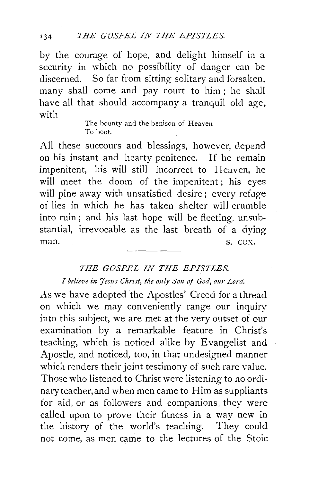by the courage of hope, and delight himself in a security in which no possibility of danger can be discerned. So far from sitting solitary and forsaken, many shall come and pay court to him ; he shall have all that should accompany a tranquil old age, with

> The bounty and the benison of Heaven To boot.

All these succours and blessings, however, depend on his instant and hearty penitence. If he remain impenitent, his will still incorrect to Heaven, he will meet the doom of the impenitent; his eyes will pine away with unsatisfied desire; every refuge oi lies in which he has taken shelter will crumble into ruin; and his last hope will be fleeting, unsubstantial, irrevocable as the last breath of a dying man. S. COX.

## *THE GOSPEL IN THE EPISTLES. I believe in Jesus Christ, the only Son of God, our Lord.*

As we have adopted the Apostles' Creed for a thread on which we may conveniently range our inquiry into this subject, we are met at the very outset of our examination by a remarkable feature in Christ's teaching, which is noticed alike by Evangelist and Apostle, and noticed, too, in that undesigned manner which renders their joint testimony of such rare value. Those who listened to Christ were listening to no ordinaryteacher,and when men came to Him as suppliants for aid, or as followers and companions, they were called upon to prove their fitness in a way new in the history of the world's teaching. They could not come, as men came to the lectures of the Stoic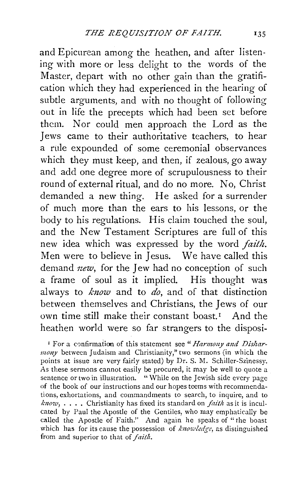and Epicurean among the heathen, and after listening with more or less delight to the words of the Master, depart with no other gain than the gratification which they had experienced in the hearing of subtle arguments, and with no thought of following out in life the precepts which had been set before them. Nor could men approach the Lord as the Jews came to their authoritative teachers, to hear a rule expounded of some ceremonial observances which they must keep, and then, if zealous, go away and add one degree more of scrupulousness to their round of external ritual, and do no more. No, Christ demanded a new thing. He asked for a surrender of much more than the ears to his lessons, or the body to his regulations. His claim touched the soul, and the New Testament Scriptures are full of this new idea which was expressed by the word *faith*. Men were to believe in Jesus. We have called this demand *new,* for the Jew had no conception of such a frame of soul as it implied. His thought was always to *know* and to *do*, and of that distinction between themselves and Christians, the Jews of our own time still make their constant boast.<sup>1</sup> And the heathen world were so far strangers to the disposi-

<sup>1</sup> For a confirmation of this statement see "Harmony and Dishar*mony* between Judaism and Christianity," two sermons (in which the points at issue are very fairly stated) by Dr. S. M. Schiller-Szinessy. As these sermons cannot easily be procured, it may be well to quote a sentence or two in illustration. "While on the Jewish side every page of the book of our instructions and our hopes teems with recommendations, exhortations, and commandments to search, to inquire, and to *k11ow,* ..•. Christianity has fixed its standard on *faith* as it is inculcated by Paul the Apostle of the Gentiles, who may emphatically be called the Apostle of Faith.'' And again he speaks of "the boast which has for its cause the possession of *knowledge*, as distinguished from and superior to that of *faitlz.*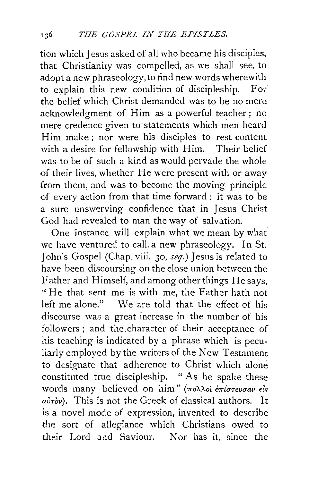tion which Jesus asked of all who became his disciples, that Christianity was compelled, as we shall see, to adopt a new phraseology, to find new words wherewith to explain this new condition of discipleship. For the belief which Christ demanded was to be no mere acknowledgment of Him as a powerful teacher; no mere credence given to statements which men heard Him make; nor were his disciples to rest content with a desire for fellowship with Him. Their belief was to be of such a kind as would pervade the whole of their lives, whether He were present with or away from them, and was to become the moving principle of every action from that time forward : it was to be a sure unswerving confidence that in Jesus Christ God had revealed to man the way of salvation.

One instance will explain what we mean by what we have ventured to calL a new phraseology. In St. John's Gospel (Chap. viii. 30, *seq.)* Jesus is related to have been discoursing on the close union between the Father and Himself, and among other things He says, "He that sent me is with me, the Father bath not left me alone." We are told that the effect of his discourse was a great increase in the number of his followers ; and the character of their acceptance of his teaching is indicated by a phrase which is peculiarly employed by the writers of the New Testament to designate that adherence to Christ which alone constituted true discipleship. "As he spake these words many believed on him" (πολλοί έπίστευσαν είς  $a\dot{v}$  $\dot{v}$ ). This is not the Greek of classical authors. It is a novel mode of expression, invented to describe the sort of allegiance which Christians owed to their Lord and Saviour. Nor has it, since the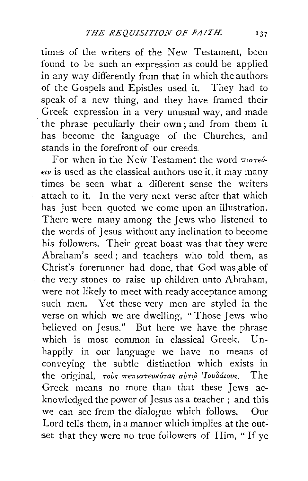times of the writers of the New Testament, been found to be such an expression as could be applied in any way differently from that in which the authors of the Gospels and Epistles used it. They had to speak of a new thing, and they have framed their Greek expression in a very unusual way, and made the phrase peculiarly their own; and from them it has become the language of the Churches, and stands in the forefront of our creeds.

For when in the New Testament the word  $\pi i\sigma\tau e\acute{\nu}$ - $\epsilon v$  is used as the classical authors use it, it may many times be seen what a different sense the writers attach to it. In the very next verse after that which has just been quoted we come upon an illustration. There were many among the Jews who listened to the words of Jesus without any inclination to become his followers. Their great boast was that they were Abraham's seed; and teachers who told them, as Christ's forerunner had done, that God was.able of the very stones to raise up children unto Abraham, were not likely to meet with ready acceptance among such men. Yet these very men are styled in the verse on which we are dwelling, "Those Jews who believed on Jesus." But here we have the phrase which is most common in classical Greek. Unhappily in our language we have no means of conveying the subtle distinction which exists in the original, τούς πεπιστευκότας αύτω 'Ιουδάιους. The Greek means no more than that these Jews acknowledged the power of Jesus as a teacher; and this we can sec from the dialogue which follows. Our Lord tells them, in a manner which implies at the outset that they were no true followers of Him, "If ye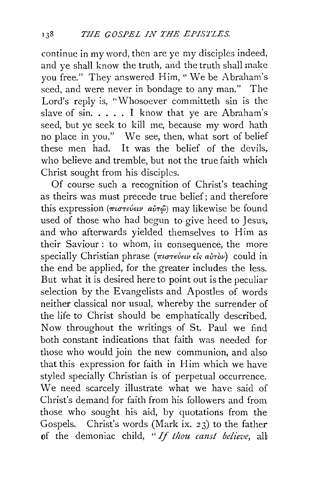continue in my word, then are ye my disciples indeed, and ye shall know the truth, and the truth shall make you free." They answered Him, "We be Abraham's seed, and were never in bondage to any man." The Lord's reply is, "Whosoever committeth sin is the slave of  $sin.$   $\dots$  I know that ye are Abraham's seed, but ye seek to kill me, because my word hath no place in you." We see, then, what sort of belief these men had. It was the belief of the devils, who believe and tremble, but not the true faith which Christ sought from his disciples.

Of course such a recognition of Christ's teaching as theirs was must precede true belief; and therefore this expression (πιστεύειν αὐτ<u>ώ</u>) may likewise be found used of those who had begun to give heed to Jesus. and who afterwards yielded themselves to Him as their Saviour: to whom, in consequence, the more specially Christian phrase (πιστεύειν είς αυτόν) could in the end be applied, for the greater includes the less. But what it is desired here to point out is the peculiar selection by the Evangelists and Apostles of words neither classical nor usual, whereby the surrender of the life to Christ should be emphatically described. Now throughout the writings of St. Paul we find both constant indications that faith was needed for those who would join the new communion, and also that this expression for faith in Him which we have styled specially Christian is of perpetual occurrence. We need scarcely illustrate what we have said of Christ's demand for faith from his followers and from those who sought his aid, by quotations from the Gospels. Christ's words (Mark ix. 23) to the father of the demoniac child, "If thou canst believe, all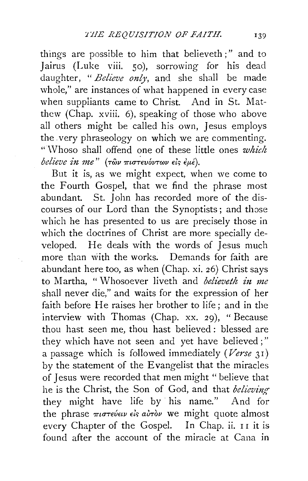things are possible to him that believeth ; " and to Jairus (Luke viii. 50), sorrowing for his dead daughter, " *Believe only,* and she shall be made whole," are instances of what happened in every case when suppliants came to Christ. And in St. Matthew (Chap. xviii. 6), speaking of those who above all others might be called his own, Jesus employs the. very phraseology on which we are commenting. "\Vhoso shall offend one of these little ones *which believe in me" (των πιστευόντων είς έμέ).* 

But it is, as we might expect, when we come to the Fourth Gospel, that we find the phrase most abundant. St. John has recorded more of the discourses of our Lord than the Synoptists; and those which he has presented to us are precisely those in which the doctrines of Christ are more specially developed. He deals with the words of Jesus much more than with the works. Demands for faith are abundant here too, as when (Chap. xi. 26) Christ says to Martha, "Whosoever liveth and *believeth in me* shall never die," and waits for the expression of her faith before He raises her brother to life; and in the interview with Thomas (Chap. xx. 29), "Because thou hast seen me, thou hast believed : blessed are they which have not seen and yet have believed;" a passage which is followed immediately *(Verse* 31) by the statement of the Evangelist that the miracles of Jesus were recorded that men might " believe that he is the Christ, the Son of God, and that *believing·*  they might have life by his name." And for the phrase πιστεύειν είς αύτὸν we might quote almost every Chapter of the Gospel. In Chap. ii. II it is found after the account of the miracle at Cana in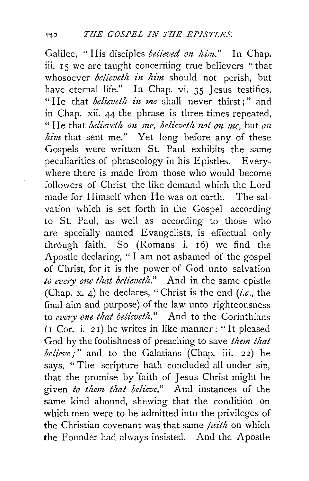Galilee, "His disciples *believed on him."* In Chap. iii. I *5* we are taught concerning true believers " that whosoever *believeth in him* should not perish, but have eternal life." In Chap. vi. 35 Jesus testifies, " He that *believeth in me* shall never thirst;" and in Chap. xii. 44 the phrase is three times repeated, " He that *believeth on me, believeth not on me*, but *on him* that sent me." Yet long before any of these Gospels were written St. Paul exhibits the same peculiarities of phraseology in his Epistles. Everywhere there is made from those who would become followers of Christ the like demand which the Lord made for Himself when He was on earth. The salvation which is set forth in the Gospel according to St. Paul, as well as according to those who are specially named Evangelists, is effectual only through faith. So (Romans i. I6) we find the Apostle declaring, "I am not ashamed of the gospel of Christ, for it is the power of God unto salvation *to every one that believeth.*" And in the same epistle (Chap. x. 4) he declares, "Christ is the end *(i.e.,* the final aim and purpose) of the law unto righteousness to every one that believeth." And to the Corinthians  $(I$  Cor. i. 21) he writes in like manner : "It pleased God by the foolishness of preaching to save *them that believe;"* and to the Galatians (Chap. iii. 22) he says, " The scripture hath concluded all under sin, that the promise by 'faith of Jesus Christ might be given *to thmt that believe."* And instances of the same kind abound, shewing that the condition on which men were to be admitted into the privileges of the Christian covenant was that same *faith* on which the Founder had always insisted. And the Apostle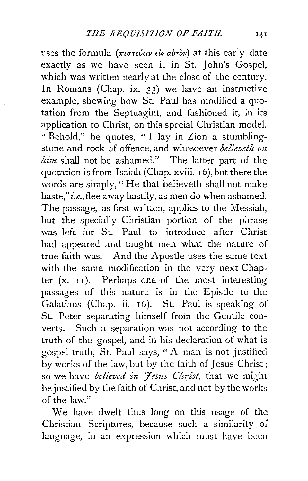uses the formula (πιστεύειν είς αύτὸν) at this early date exactly as we have seen it in St. John's Gospel, which was written nearly at the close of the century. In Romans (Chap. ix. 33) we have an instructive example, shewing how St. Paul has modified a quotation from the Septuagint, and fashioned it, in its application to Christ, on this special Christian model. " Behold," he quotes, " I lay in Zion a stumblingstone and rock of offence, and whosoever *believeth on him* shall not be ashamed." The latter part of the quotation is from Isaiah (Chap. xviii. 16), but there the words are simply," He that believeth shall not make haste,"*i.e.*, flee away hastily, as men do when ashamed. The passage, as first written, applies to the Messiah, but the specially Christian portion of the phrase was lefr for St. Paul to introduce after Christ bad appeared and taught men what the nature of true faith was. And the Apostle uses the same text with the same modification in the very next Chapter  $(x, 1)$ . Perhaps one of the most interesting passages of this nature is in the Epistle to the Galatians (Chap. ii. 16). St. Paul is speaking of St. Peter separating himself from the Gentile converts. Such a separation was not according to the truth of the gospel, and in his declaration of what is gospel truth, St. Paul says, " A man is not justified by works of the law, but by the faith of Jesus Christ; so we have *believed in Jesus Christ*, that we might be justified by the faith of Christ, and not by the works . of the law."

We have dwelt thus long on this usage of the Christian Scriptures, because such a similarity of language, in an expression which must have been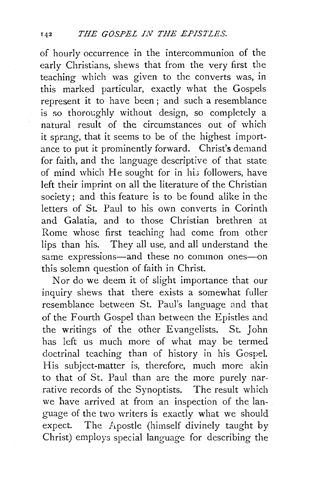of hourly occurrence in the intercommunion of the early Christians, shews that from the very first the teaching which was given to the converts was, in this marked particular, exactly what the Gospels represent it to have been; and such a resemblance is so thoroughly without design, so completely a natural result of the circumstances out of which it sprang, that it seems to be of the highest importance to put it prominently forward. Christ's demand for faith, and the language descriptive of that state of mind which He sought for in his followers, have left their imprint on all the literature of the Christian society; and this feature is to be found alike in the letters of St. Paul to his own converts in Corinth and Galatia, and to those Christian brethren at Rome whose first teaching had come from other lips than his. They all use, and all understand the same expressions—and these no common ones—on this solemn question of faith in Christ.

Nor do we deem it of slight importance that our inquiry shews that there exists a somewhat fuller resemblance between St. Paul's language and that of the Fourth Gospel than between the Epistles and the writings of the other Evangelists. St. John has left us much more of what may be termed doctrinal teaching than of history in his Gospel. His subject-matter is, therefore, much more akin to that of St. Paul than are the more purely narrative records of the Synoptists. The result which we have arrived at from an inspection of the language of the two writers is exactly what we should expect. The Apostle (himself divinely taught by Christ) employs special language for describing the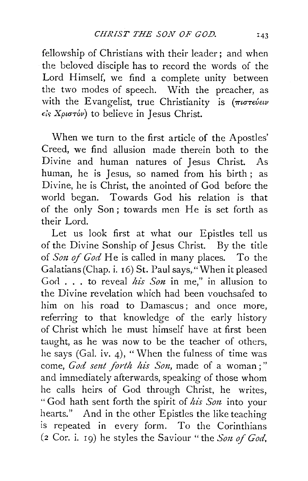fellowship of Christians with their leader; and when the beloved disciple has to record the words of the Lord Himself, we find a complete unity between the two modes of speech. With the preacher, as with the Evangelist, true Christianity is (πιστεύειν *et, XptCTTov)* to believe in Jesus Christ.

When we turn to the first article of the Apostles' Creed, we find allusion made therein both to the Divine and human natures of Jesus Christ. As human, he is Jesus, so named from his birth ; as Divine, he is Christ, the anointed of God before the world began. Towards God his relation is that of the only Son; towards men He is set forth as their Lord.

Let us look first at what our Epistles tell us of the Divine Sonship of Jesus Christ. By the title of *Son of God* He is called in many places. To the Galatians (Chap. i. 16) St. Paul says, "When it pleased God . . . to reveal *his Son* in me," in allusion to the Divine revelation which had been vouchsafed to him on his road to Damascus; and once more, referring to that knowledge of the early history of Christ which he must himself have at first been taught, as he was now to be the teacher of others, he says (Gal. iv. 4), "When the fulness of time was come, God sent forth his Son, made of a woman;" and immediately afterwards, speaking of those whom he calls heirs of God through Christ, he writes, " God hath sent forth the spirit of *his So1t* into your hearts." And in the other Epistles the like teaching is repeated in every form. To the Corinthians (2 Cor. i. 19) he styles the Saviour " the *Son of God*,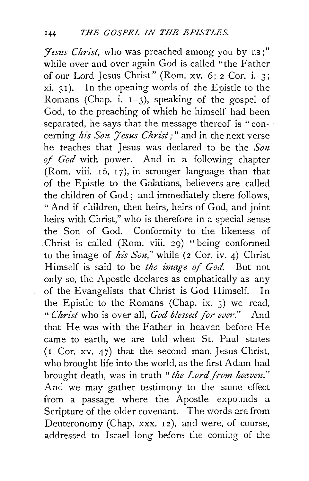*J'estts Christ,* who was preached among you by us;" while over and over again God is called "the Father of our Lord Jesus Christ" (Rom. xv. 6; 2 Cor. i. 3; xi. 31 ). In the opening words of the Epistle to the Romans (Chap. i.  $1-3$ ), speaking of the gospel of God, to the preaching of which he himself had been separated, he says that the message thereof is "concerning *his Son Jesus Christ*;" and in the next verse he teaches that Jesus was declared to be the *Son of God* with power. And in a following chapter (Rom. viii.  $16$ ,  $17$ ), in stronger language than that of the Epistle to the Galatians, believers are called the children of God; and immediately there follows, "And if children, then heirs, heirs of God, and joint heirs with Christ," who is therefore in a special sense the Son of God. Conformity to the likeness of Christ is called (Rom. viii. 29) "being conformed to the image of *his Son,"* while (2 Cor. iv. 4) Christ Himself is said to be *the image of God.* But not only so, the Apostle declares as emphatically as any of the Evangelists that Christ is God Himself. In the Epistle to the Romans (Chap. ix. 5) we read, *"Christ* who is over all, *God blessed for ever."* And that He was with the Father in heaven before He came to earth, we are told when St. Paul states ( $\mathbf{i}$  Cor. xv. 47) that the second man, Jesus Christ, who brought life into the world, as the first Adam had brought death, was in truth *"the Lord from heavm."*  And we may gather testimony to the same effect from a passage where the Apostle expounds a Scripture of the older covenant. The words are from Deuteronomy (Chap. xxx. 12), and were, of course, addressed to Israel long before the coming of the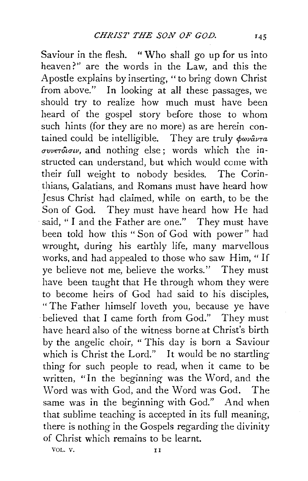Saviour in the flesh. "Who shall go up for us into heaven?" are the words in the Law, and this the Apostle explains by inserting, "to bring down Christ from above." In looking at all these passages, we should try to realize how much must have been heard of the gospel story before those to whom such hints (for they are no more) as are herein contained could be intelligible. They are truly  $\phi \omega \omega \hat{a} \nu \tau a$  $\sigma$ *vverotouv*, and nothing else; words which the instructed can understand, but which would come with their full weight to nobody besides. The Corinthians, Galatians, and Romans must have heard how Jesus Christ had claimed, while on earth, to be the Son of God. They must have heard how He had said, "I and the Father are one." They must have been told how this " Son of God with power" had wrought, during his earthly life, many marvellous works, and had appealed to those who saw Him, "If ye believe not me, believe the works." They must have been taught that He through whom they were to become heirs of God had said to his disciples, "The Father himself loveth you, because ye have ·believed that I came forth from God." They must have heard also of the witness borne at Christ's birth by the angelic choir, "This day is born a Saviour which is Christ the Lord." It would be no startling thing for such people to read, when it came to be written, "In the beginning was the Word, and the Word was with God, and the Word was God. The same was in the beginning with God." And when that sublime teaching is accepted in its full meaning, there is nothing in the Gospels regarding the divinity of Christ which remains to be learnt.

VOL. V. 11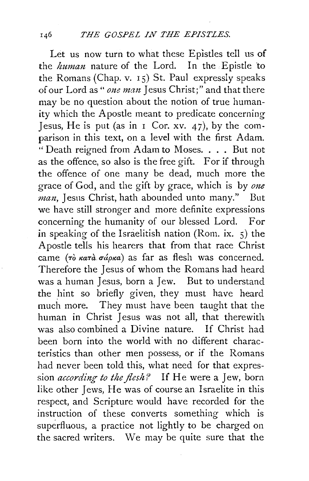Let us now turn to what these Epistles tell us of the *human* nature of the Lord. In the Epistle to the Romans (Chap. v.  $15$ ) St. Paul expressly speaks of our Lord as "*one man* Jesus Christ;" and that there may be no question about the notion of true humanity which the Apostle meant to predicate concerning Jesus, He is put (as in  $\sigma$  Cor. xv. 47), by the comparison in this text, on a level with the first Adam. " Death reigned from Adam to Moses. . . . But not as the offence, so also is the free gift. For if through the offence of one many be dead, much more the grace of God, and the gift by grace, which is by *one man,* Jesus Christ, hath abounded unto many." But we have still stronger and more definite expressions concerning the humanity of our blessed Lord. For in speaking of the Israelitish nation (Rom. ix. 5) the Apostle tells his hearers that from that race Christ came  $(\tau \delta \kappa a \tau \dot{a} \sigma \dot{\alpha} \rho \kappa a)$  as far as flesh was concerned. Therefore the Jesus of whom the Romans had heard was a human Jesus, born a Jew. But to understand the hint so briefly given, they must have heard much more. They must have been taught that the human in Christ Jesus was not all, that therewith was also combined a Divine nature. If Christ had been born into the world with no different characteristics than other men possess, or if the Romans had never been told this, what need for that expression *according to the flesh?* If He were a Jew, born like other Jews, He was of course an Israelite in this respect, and Scripture would have recorded for the instruction of these converts something which is superfluous, a practice not lightly to be charged on the sacred writers. We may be quite sure that the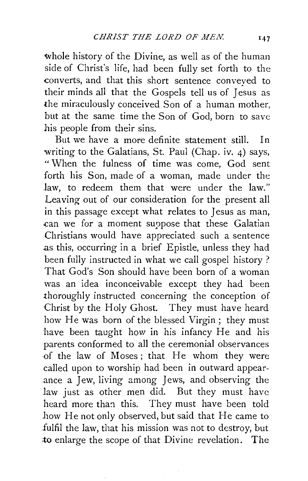whole history of the Divine, as well as of the human side of Christ's life, had been fully set forth to the converts, and that this short sentence conveyed to their minds all that the Gospels tell us of Jesus as the miraculously conceived Son of a human mother, but at the same time the Son of God, born to save his people from their sins.

But we have a more definite statement still. In writing to the Galatians, St. Paul (Chap. iv. 4) says, "When the fulness of time was come, God sent forth his Son, made of a woman, made under the Jaw, to redeem them that were under the law." Leaving out of our consideration for the present all in this passage except what relates to Jesus as man, can we for a moment suppose that these Galatian Christians would have appreciated such a sentence .as this, occurring in a brief Epistle, unless they had been fully instructed in what we call gospel history ? That God's Son should have been born of a woman was an idea inconceivable except they had been thoroughly instructed concerning the conception of Christ by the Holy Ghost. They must have heard how He was born of the blessed Virgin ; they must have been taught how in his infancy He and his parents conformed to all the ceremonial observances ·of the law of Moses; that He whom they were called upon to worship had been in outward appearance a Jew, living among Jews, and observing the law just as other men did. But they must have heard more than this. They must have been told how He not only observed, but said that He came to fulfil the law, that his mission was not to destroy, but to enlarge the scope of that Divine revelation. The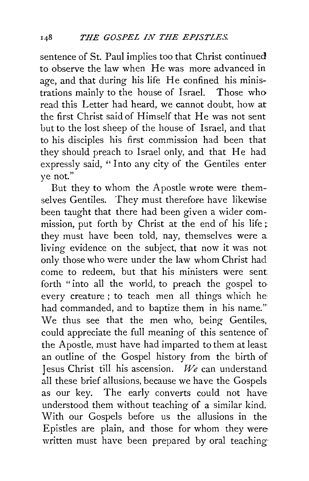sentence of St. Paul implies too that Christ continued to observe the law when He was more advanced in age, and that during his life He confined his ministrations mainly to the house of Israel. Those who read this Letter had heard, we cannot doubt, how at the first Christ said of Himself that He was not sent but to the lost sheep of the house of Israel, and that to his disciples his first commission had been that they should preach to Israel only, and that He had expressly said, "Into any city of the Gentiles enter ye not."

But they to whom the Apostle wrote were themselves Gentiles. They must therefore have likewise been taught that there had been given a wider commission, put forth by Christ at the end of his life ; they must have been told, nay, themselves were a. living evidence on the subject, that now it was not only those who were under the law whom Christ had come to redeem, but that his ministers were sent forth "into all the world, to preach the gospel to every creature ; to teach men all things which he· had commanded, and to baptize them in his name." We thus see that the men who, being Gentiles, could appreciate the full meaning of this sentence of the Apostle, must have had imparted to them at least an outline of the Gospel history from the birth of Jesus Christ till his ascension. *We* can understand all these brief allusions, because we have the Gospels as our key. The early converts could not haveunderstood them without teaching of a similar kind. With our Gospels before us the allusions in the Epistles are plain, and those for whom they were written must have been prepared by oral teaching